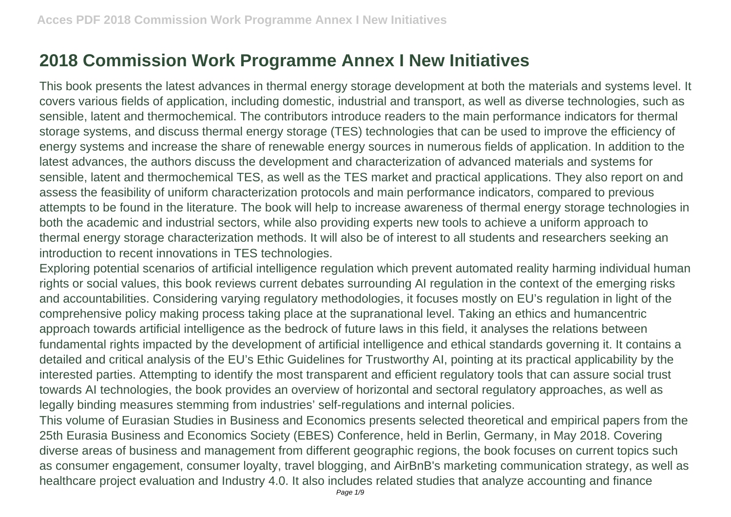## **2018 Commission Work Programme Annex I New Initiatives**

This book presents the latest advances in thermal energy storage development at both the materials and systems level. It covers various fields of application, including domestic, industrial and transport, as well as diverse technologies, such as sensible, latent and thermochemical. The contributors introduce readers to the main performance indicators for thermal storage systems, and discuss thermal energy storage (TES) technologies that can be used to improve the efficiency of energy systems and increase the share of renewable energy sources in numerous fields of application. In addition to the latest advances, the authors discuss the development and characterization of advanced materials and systems for sensible, latent and thermochemical TES, as well as the TES market and practical applications. They also report on and assess the feasibility of uniform characterization protocols and main performance indicators, compared to previous attempts to be found in the literature. The book will help to increase awareness of thermal energy storage technologies in both the academic and industrial sectors, while also providing experts new tools to achieve a uniform approach to thermal energy storage characterization methods. It will also be of interest to all students and researchers seeking an introduction to recent innovations in TES technologies.

Exploring potential scenarios of artificial intelligence regulation which prevent automated reality harming individual human rights or social values, this book reviews current debates surrounding AI regulation in the context of the emerging risks and accountabilities. Considering varying regulatory methodologies, it focuses mostly on EU's regulation in light of the comprehensive policy making process taking place at the supranational level. Taking an ethics and humancentric approach towards artificial intelligence as the bedrock of future laws in this field, it analyses the relations between fundamental rights impacted by the development of artificial intelligence and ethical standards governing it. It contains a detailed and critical analysis of the EU's Ethic Guidelines for Trustworthy AI, pointing at its practical applicability by the interested parties. Attempting to identify the most transparent and efficient regulatory tools that can assure social trust towards AI technologies, the book provides an overview of horizontal and sectoral regulatory approaches, as well as legally binding measures stemming from industries' self-regulations and internal policies.

This volume of Eurasian Studies in Business and Economics presents selected theoretical and empirical papers from the 25th Eurasia Business and Economics Society (EBES) Conference, held in Berlin, Germany, in May 2018. Covering diverse areas of business and management from different geographic regions, the book focuses on current topics such as consumer engagement, consumer loyalty, travel blogging, and AirBnB's marketing communication strategy, as well as healthcare project evaluation and Industry 4.0. It also includes related studies that analyze accounting and finance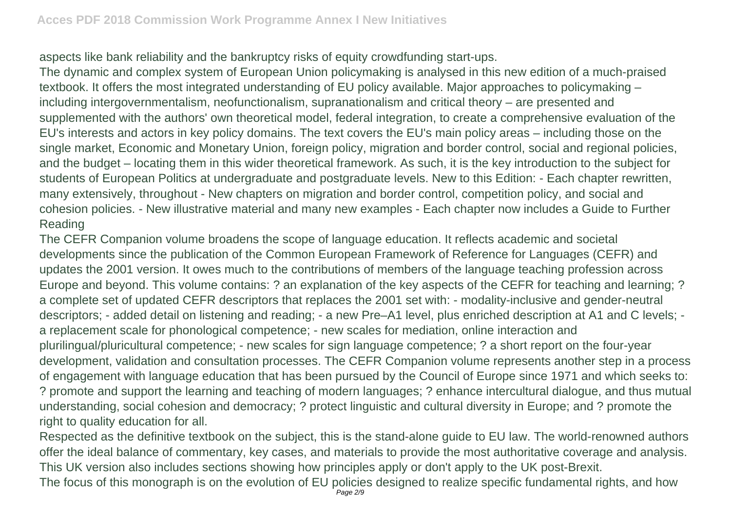aspects like bank reliability and the bankruptcy risks of equity crowdfunding start-ups.

The dynamic and complex system of European Union policymaking is analysed in this new edition of a much-praised textbook. It offers the most integrated understanding of EU policy available. Major approaches to policymaking – including intergovernmentalism, neofunctionalism, supranationalism and critical theory – are presented and supplemented with the authors' own theoretical model, federal integration, to create a comprehensive evaluation of the EU's interests and actors in key policy domains. The text covers the EU's main policy areas – including those on the single market, Economic and Monetary Union, foreign policy, migration and border control, social and regional policies, and the budget – locating them in this wider theoretical framework. As such, it is the key introduction to the subject for students of European Politics at undergraduate and postgraduate levels. New to this Edition: - Each chapter rewritten, many extensively, throughout - New chapters on migration and border control, competition policy, and social and cohesion policies. - New illustrative material and many new examples - Each chapter now includes a Guide to Further Reading

The CEFR Companion volume broadens the scope of language education. It reflects academic and societal developments since the publication of the Common European Framework of Reference for Languages (CEFR) and updates the 2001 version. It owes much to the contributions of members of the language teaching profession across Europe and beyond. This volume contains: ? an explanation of the key aspects of the CEFR for teaching and learning; ? a complete set of updated CEFR descriptors that replaces the 2001 set with: - modality-inclusive and gender-neutral descriptors; - added detail on listening and reading; - a new Pre–A1 level, plus enriched description at A1 and C levels; a replacement scale for phonological competence; - new scales for mediation, online interaction and plurilingual/pluricultural competence; - new scales for sign language competence; ? a short report on the four-year development, validation and consultation processes. The CEFR Companion volume represents another step in a process of engagement with language education that has been pursued by the Council of Europe since 1971 and which seeks to: ? promote and support the learning and teaching of modern languages; ? enhance intercultural dialogue, and thus mutual understanding, social cohesion and democracy; ? protect linguistic and cultural diversity in Europe; and ? promote the right to quality education for all.

Respected as the definitive textbook on the subject, this is the stand-alone guide to EU law. The world-renowned authors offer the ideal balance of commentary, key cases, and materials to provide the most authoritative coverage and analysis. This UK version also includes sections showing how principles apply or don't apply to the UK post-Brexit.

The focus of this monograph is on the evolution of EU policies designed to realize specific fundamental rights, and how Page 2/9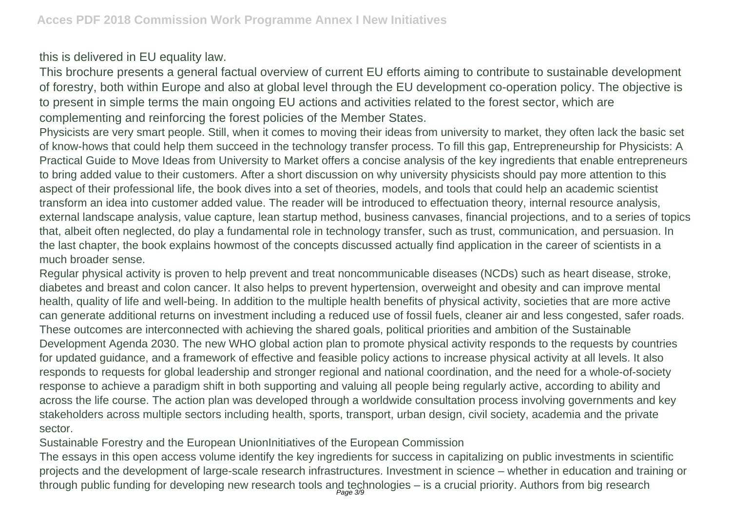this is delivered in EU equality law.

This brochure presents a general factual overview of current EU efforts aiming to contribute to sustainable development of forestry, both within Europe and also at global level through the EU development co-operation policy. The objective is to present in simple terms the main ongoing EU actions and activities related to the forest sector, which are complementing and reinforcing the forest policies of the Member States.

Physicists are very smart people. Still, when it comes to moving their ideas from university to market, they often lack the basic set of know-hows that could help them succeed in the technology transfer process. To fill this gap, Entrepreneurship for Physicists: A Practical Guide to Move Ideas from University to Market offers a concise analysis of the key ingredients that enable entrepreneurs to bring added value to their customers. After a short discussion on why university physicists should pay more attention to this aspect of their professional life, the book dives into a set of theories, models, and tools that could help an academic scientist transform an idea into customer added value. The reader will be introduced to effectuation theory, internal resource analysis, external landscape analysis, value capture, lean startup method, business canvases, financial projections, and to a series of topics that, albeit often neglected, do play a fundamental role in technology transfer, such as trust, communication, and persuasion. In the last chapter, the book explains howmost of the concepts discussed actually find application in the career of scientists in a much broader sense.

Regular physical activity is proven to help prevent and treat noncommunicable diseases (NCDs) such as heart disease, stroke, diabetes and breast and colon cancer. It also helps to prevent hypertension, overweight and obesity and can improve mental health, quality of life and well-being. In addition to the multiple health benefits of physical activity, societies that are more active can generate additional returns on investment including a reduced use of fossil fuels, cleaner air and less congested, safer roads. These outcomes are interconnected with achieving the shared goals, political priorities and ambition of the Sustainable Development Agenda 2030. The new WHO global action plan to promote physical activity responds to the requests by countries for updated guidance, and a framework of effective and feasible policy actions to increase physical activity at all levels. It also responds to requests for global leadership and stronger regional and national coordination, and the need for a whole-of-society response to achieve a paradigm shift in both supporting and valuing all people being regularly active, according to ability and across the life course. The action plan was developed through a worldwide consultation process involving governments and key stakeholders across multiple sectors including health, sports, transport, urban design, civil society, academia and the private sector.

Sustainable Forestry and the European UnionInitiatives of the European Commission

The essays in this open access volume identify the key ingredients for success in capitalizing on public investments in scientific projects and the development of large-scale research infrastructures. Investment in science – whether in education and training or through public funding for developing new research tools and technologies – is a crucial priority. Authors from big research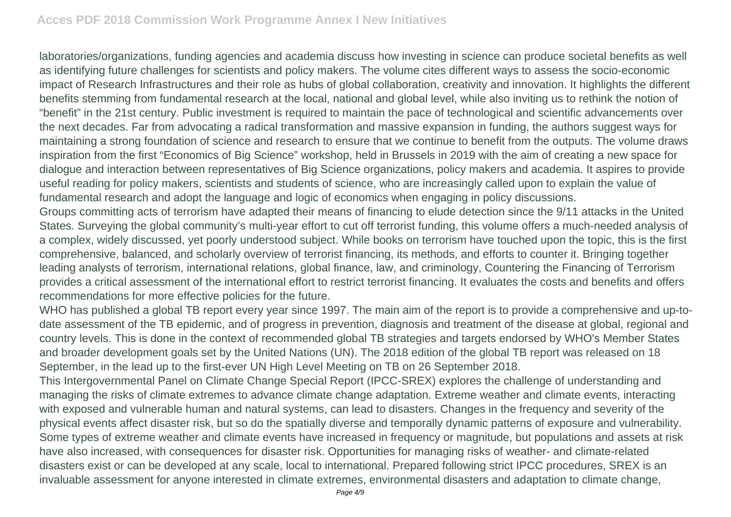laboratories/organizations, funding agencies and academia discuss how investing in science can produce societal benefits as well as identifying future challenges for scientists and policy makers. The volume cites different ways to assess the socio-economic impact of Research Infrastructures and their role as hubs of global collaboration, creativity and innovation. It highlights the different benefits stemming from fundamental research at the local, national and global level, while also inviting us to rethink the notion of "benefit" in the 21st century. Public investment is required to maintain the pace of technological and scientific advancements over the next decades. Far from advocating a radical transformation and massive expansion in funding, the authors suggest ways for maintaining a strong foundation of science and research to ensure that we continue to benefit from the outputs. The volume draws inspiration from the first "Economics of Big Science" workshop, held in Brussels in 2019 with the aim of creating a new space for dialogue and interaction between representatives of Big Science organizations, policy makers and academia. It aspires to provide useful reading for policy makers, scientists and students of science, who are increasingly called upon to explain the value of fundamental research and adopt the language and logic of economics when engaging in policy discussions.

Groups committing acts of terrorism have adapted their means of financing to elude detection since the 9/11 attacks in the United States. Surveying the global community's multi-year effort to cut off terrorist funding, this volume offers a much-needed analysis of a complex, widely discussed, yet poorly understood subject. While books on terrorism have touched upon the topic, this is the first comprehensive, balanced, and scholarly overview of terrorist financing, its methods, and efforts to counter it. Bringing together leading analysts of terrorism, international relations, global finance, law, and criminology, Countering the Financing of Terrorism provides a critical assessment of the international effort to restrict terrorist financing. It evaluates the costs and benefits and offers recommendations for more effective policies for the future.

WHO has published a global TB report every year since 1997. The main aim of the report is to provide a comprehensive and up-todate assessment of the TB epidemic, and of progress in prevention, diagnosis and treatment of the disease at global, regional and country levels. This is done in the context of recommended global TB strategies and targets endorsed by WHO's Member States and broader development goals set by the United Nations (UN). The 2018 edition of the global TB report was released on 18 September, in the lead up to the first-ever UN High Level Meeting on TB on 26 September 2018.

This Intergovernmental Panel on Climate Change Special Report (IPCC-SREX) explores the challenge of understanding and managing the risks of climate extremes to advance climate change adaptation. Extreme weather and climate events, interacting with exposed and vulnerable human and natural systems, can lead to disasters. Changes in the frequency and severity of the physical events affect disaster risk, but so do the spatially diverse and temporally dynamic patterns of exposure and vulnerability. Some types of extreme weather and climate events have increased in frequency or magnitude, but populations and assets at risk have also increased, with consequences for disaster risk. Opportunities for managing risks of weather- and climate-related disasters exist or can be developed at any scale, local to international. Prepared following strict IPCC procedures, SREX is an invaluable assessment for anyone interested in climate extremes, environmental disasters and adaptation to climate change,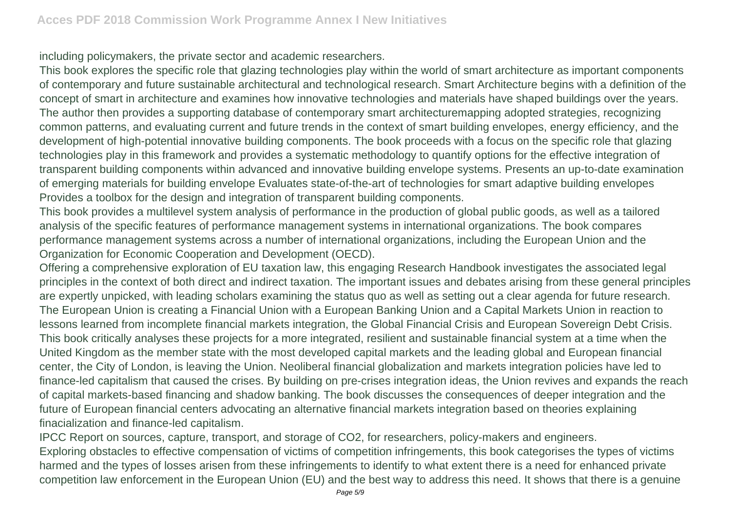including policymakers, the private sector and academic researchers.

This book explores the specific role that glazing technologies play within the world of smart architecture as important components of contemporary and future sustainable architectural and technological research. Smart Architecture begins with a definition of the concept of smart in architecture and examines how innovative technologies and materials have shaped buildings over the years. The author then provides a supporting database of contemporary smart architecturemapping adopted strategies, recognizing common patterns, and evaluating current and future trends in the context of smart building envelopes, energy efficiency, and the development of high-potential innovative building components. The book proceeds with a focus on the specific role that glazing technologies play in this framework and provides a systematic methodology to quantify options for the effective integration of transparent building components within advanced and innovative building envelope systems. Presents an up-to-date examination of emerging materials for building envelope Evaluates state-of-the-art of technologies for smart adaptive building envelopes Provides a toolbox for the design and integration of transparent building components.

This book provides a multilevel system analysis of performance in the production of global public goods, as well as a tailored analysis of the specific features of performance management systems in international organizations. The book compares performance management systems across a number of international organizations, including the European Union and the Organization for Economic Cooperation and Development (OECD).

Offering a comprehensive exploration of EU taxation law, this engaging Research Handbook investigates the associated legal principles in the context of both direct and indirect taxation. The important issues and debates arising from these general principles are expertly unpicked, with leading scholars examining the status quo as well as setting out a clear agenda for future research. The European Union is creating a Financial Union with a European Banking Union and a Capital Markets Union in reaction to lessons learned from incomplete financial markets integration, the Global Financial Crisis and European Sovereign Debt Crisis. This book critically analyses these projects for a more integrated, resilient and sustainable financial system at a time when the United Kingdom as the member state with the most developed capital markets and the leading global and European financial center, the City of London, is leaving the Union. Neoliberal financial globalization and markets integration policies have led to finance-led capitalism that caused the crises. By building on pre-crises integration ideas, the Union revives and expands the reach of capital markets-based financing and shadow banking. The book discusses the consequences of deeper integration and the future of European financial centers advocating an alternative financial markets integration based on theories explaining finacialization and finance-led capitalism.

IPCC Report on sources, capture, transport, and storage of CO2, for researchers, policy-makers and engineers. Exploring obstacles to effective compensation of victims of competition infringements, this book categorises the types of victims harmed and the types of losses arisen from these infringements to identify to what extent there is a need for enhanced private competition law enforcement in the European Union (EU) and the best way to address this need. It shows that there is a genuine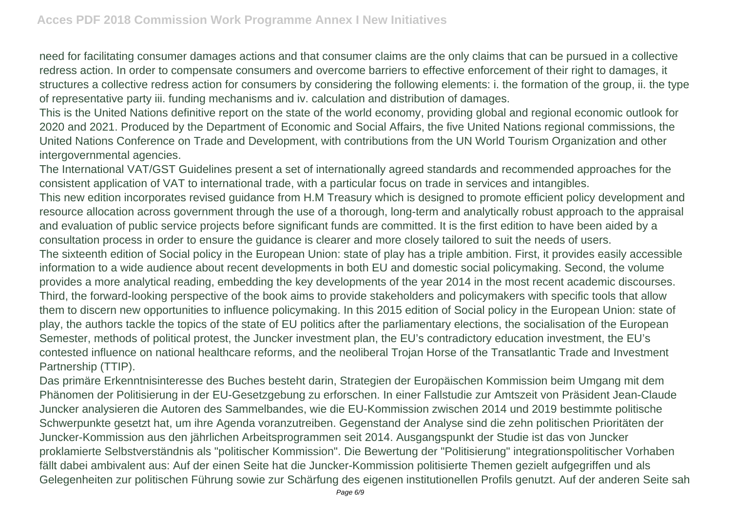need for facilitating consumer damages actions and that consumer claims are the only claims that can be pursued in a collective redress action. In order to compensate consumers and overcome barriers to effective enforcement of their right to damages, it structures a collective redress action for consumers by considering the following elements: i. the formation of the group, ii. the type of representative party iii. funding mechanisms and iv. calculation and distribution of damages.

This is the United Nations definitive report on the state of the world economy, providing global and regional economic outlook for 2020 and 2021. Produced by the Department of Economic and Social Affairs, the five United Nations regional commissions, the United Nations Conference on Trade and Development, with contributions from the UN World Tourism Organization and other intergovernmental agencies.

The International VAT/GST Guidelines present a set of internationally agreed standards and recommended approaches for the consistent application of VAT to international trade, with a particular focus on trade in services and intangibles.

This new edition incorporates revised guidance from H.M Treasury which is designed to promote efficient policy development and resource allocation across government through the use of a thorough, long-term and analytically robust approach to the appraisal and evaluation of public service projects before significant funds are committed. It is the first edition to have been aided by a consultation process in order to ensure the guidance is clearer and more closely tailored to suit the needs of users.

The sixteenth edition of Social policy in the European Union: state of play has a triple ambition. First, it provides easily accessible information to a wide audience about recent developments in both EU and domestic social policymaking. Second, the volume provides a more analytical reading, embedding the key developments of the year 2014 in the most recent academic discourses. Third, the forward-looking perspective of the book aims to provide stakeholders and policymakers with specific tools that allow them to discern new opportunities to influence policymaking. In this 2015 edition of Social policy in the European Union: state of play, the authors tackle the topics of the state of EU politics after the parliamentary elections, the socialisation of the European Semester, methods of political protest, the Juncker investment plan, the EU's contradictory education investment, the EU's contested influence on national healthcare reforms, and the neoliberal Trojan Horse of the Transatlantic Trade and Investment Partnership (TTIP).

Das primäre Erkenntnisinteresse des Buches besteht darin, Strategien der Europäischen Kommission beim Umgang mit dem Phänomen der Politisierung in der EU-Gesetzgebung zu erforschen. In einer Fallstudie zur Amtszeit von Präsident Jean-Claude Juncker analysieren die Autoren des Sammelbandes, wie die EU-Kommission zwischen 2014 und 2019 bestimmte politische Schwerpunkte gesetzt hat, um ihre Agenda voranzutreiben. Gegenstand der Analyse sind die zehn politischen Prioritäten der Juncker-Kommission aus den jährlichen Arbeitsprogrammen seit 2014. Ausgangspunkt der Studie ist das von Juncker proklamierte Selbstverständnis als "politischer Kommission". Die Bewertung der "Politisierung" integrationspolitischer Vorhaben fällt dabei ambivalent aus: Auf der einen Seite hat die Juncker-Kommission politisierte Themen gezielt aufgegriffen und als Gelegenheiten zur politischen Führung sowie zur Schärfung des eigenen institutionellen Profils genutzt. Auf der anderen Seite sah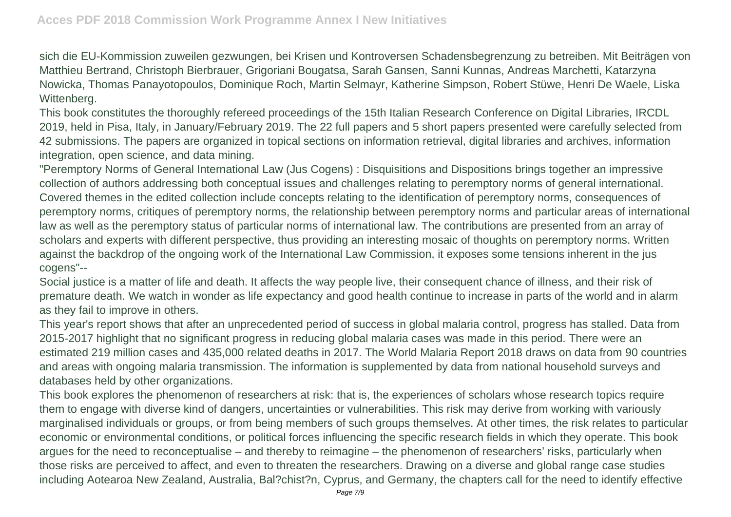sich die EU-Kommission zuweilen gezwungen, bei Krisen und Kontroversen Schadensbegrenzung zu betreiben. Mit Beiträgen von Matthieu Bertrand, Christoph Bierbrauer, Grigoriani Bougatsa, Sarah Gansen, Sanni Kunnas, Andreas Marchetti, Katarzyna Nowicka, Thomas Panayotopoulos, Dominique Roch, Martin Selmayr, Katherine Simpson, Robert Stüwe, Henri De Waele, Liska Wittenberg.

This book constitutes the thoroughly refereed proceedings of the 15th Italian Research Conference on Digital Libraries, IRCDL 2019, held in Pisa, Italy, in January/February 2019. The 22 full papers and 5 short papers presented were carefully selected from 42 submissions. The papers are organized in topical sections on information retrieval, digital libraries and archives, information integration, open science, and data mining.

"Peremptory Norms of General International Law (Jus Cogens) : Disquisitions and Dispositions brings together an impressive collection of authors addressing both conceptual issues and challenges relating to peremptory norms of general international. Covered themes in the edited collection include concepts relating to the identification of peremptory norms, consequences of peremptory norms, critiques of peremptory norms, the relationship between peremptory norms and particular areas of international law as well as the peremptory status of particular norms of international law. The contributions are presented from an array of scholars and experts with different perspective, thus providing an interesting mosaic of thoughts on peremptory norms. Written against the backdrop of the ongoing work of the International Law Commission, it exposes some tensions inherent in the jus cogens"--

Social justice is a matter of life and death. It affects the way people live, their consequent chance of illness, and their risk of premature death. We watch in wonder as life expectancy and good health continue to increase in parts of the world and in alarm as they fail to improve in others.

This year's report shows that after an unprecedented period of success in global malaria control, progress has stalled. Data from 2015-2017 highlight that no significant progress in reducing global malaria cases was made in this period. There were an estimated 219 million cases and 435,000 related deaths in 2017. The World Malaria Report 2018 draws on data from 90 countries and areas with ongoing malaria transmission. The information is supplemented by data from national household surveys and databases held by other organizations.

This book explores the phenomenon of researchers at risk: that is, the experiences of scholars whose research topics require them to engage with diverse kind of dangers, uncertainties or vulnerabilities. This risk may derive from working with variously marginalised individuals or groups, or from being members of such groups themselves. At other times, the risk relates to particular economic or environmental conditions, or political forces influencing the specific research fields in which they operate. This book argues for the need to reconceptualise – and thereby to reimagine – the phenomenon of researchers' risks, particularly when those risks are perceived to affect, and even to threaten the researchers. Drawing on a diverse and global range case studies including Aotearoa New Zealand, Australia, Bal?chist?n, Cyprus, and Germany, the chapters call for the need to identify effective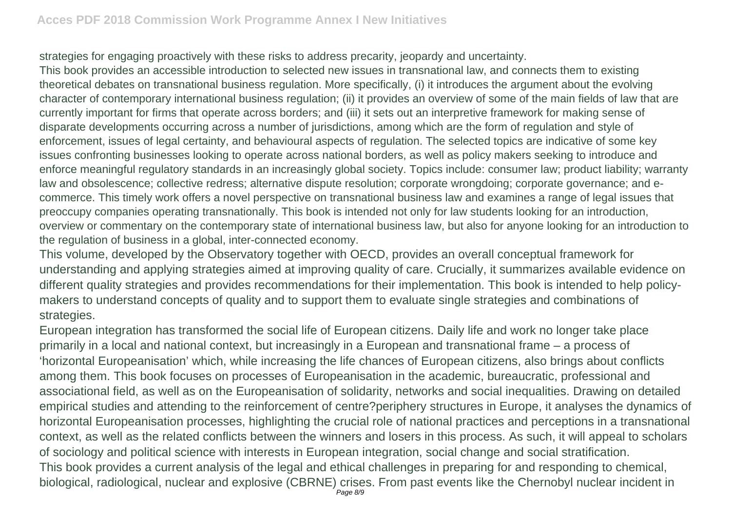strategies for engaging proactively with these risks to address precarity, jeopardy and uncertainty.

This book provides an accessible introduction to selected new issues in transnational law, and connects them to existing theoretical debates on transnational business regulation. More specifically, (i) it introduces the argument about the evolving character of contemporary international business regulation; (ii) it provides an overview of some of the main fields of law that are currently important for firms that operate across borders; and (iii) it sets out an interpretive framework for making sense of disparate developments occurring across a number of jurisdictions, among which are the form of regulation and style of enforcement, issues of legal certainty, and behavioural aspects of regulation. The selected topics are indicative of some key issues confronting businesses looking to operate across national borders, as well as policy makers seeking to introduce and enforce meaningful regulatory standards in an increasingly global society. Topics include: consumer law; product liability; warranty law and obsolescence; collective redress; alternative dispute resolution; corporate wrongdoing; corporate governance; and ecommerce. This timely work offers a novel perspective on transnational business law and examines a range of legal issues that preoccupy companies operating transnationally. This book is intended not only for law students looking for an introduction, overview or commentary on the contemporary state of international business law, but also for anyone looking for an introduction to the regulation of business in a global, inter-connected economy.

This volume, developed by the Observatory together with OECD, provides an overall conceptual framework for understanding and applying strategies aimed at improving quality of care. Crucially, it summarizes available evidence on different quality strategies and provides recommendations for their implementation. This book is intended to help policymakers to understand concepts of quality and to support them to evaluate single strategies and combinations of strategies.

European integration has transformed the social life of European citizens. Daily life and work no longer take place primarily in a local and national context, but increasingly in a European and transnational frame – a process of 'horizontal Europeanisation' which, while increasing the life chances of European citizens, also brings about conflicts among them. This book focuses on processes of Europeanisation in the academic, bureaucratic, professional and associational field, as well as on the Europeanisation of solidarity, networks and social inequalities. Drawing on detailed empirical studies and attending to the reinforcement of centre?periphery structures in Europe, it analyses the dynamics of horizontal Europeanisation processes, highlighting the crucial role of national practices and perceptions in a transnational context, as well as the related conflicts between the winners and losers in this process. As such, it will appeal to scholars of sociology and political science with interests in European integration, social change and social stratification. This book provides a current analysis of the legal and ethical challenges in preparing for and responding to chemical, biological, radiological, nuclear and explosive (CBRNE) crises. From past events like the Chernobyl nuclear incident in Page 8/9